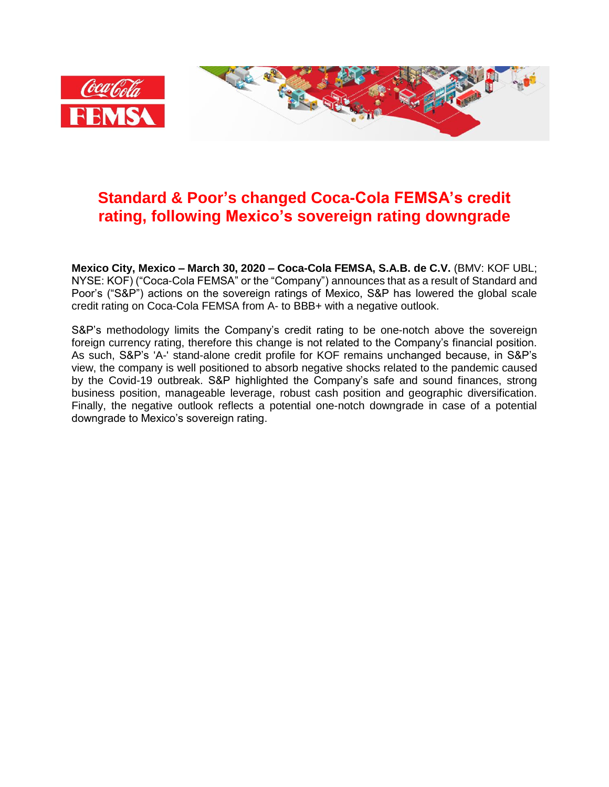

## **Standard & Poor's changed Coca-Cola FEMSA's credit rating, following Mexico's sovereign rating downgrade**

**Mexico City, Mexico – March 30, 2020 – Coca-Cola FEMSA, S.A.B. de C.V.** (BMV: KOF UBL; NYSE: KOF) ("Coca-Cola FEMSA" or the "Company") announces that as a result of Standard and Poor's ("S&P") actions on the sovereign ratings of Mexico, S&P has lowered the global scale credit rating on Coca-Cola FEMSA from A- to BBB+ with a negative outlook.

S&P's methodology limits the Company's credit rating to be one-notch above the sovereign foreign currency rating, therefore this change is not related to the Company's financial position. As such, S&P's 'A-' stand-alone credit profile for KOF remains unchanged because, in S&P's view, the company is well positioned to absorb negative shocks related to the pandemic caused by the Covid-19 outbreak. S&P highlighted the Company's safe and sound finances, strong business position, manageable leverage, robust cash position and geographic diversification. Finally, the negative outlook reflects a potential one-notch downgrade in case of a potential downgrade to Mexico's sovereign rating.